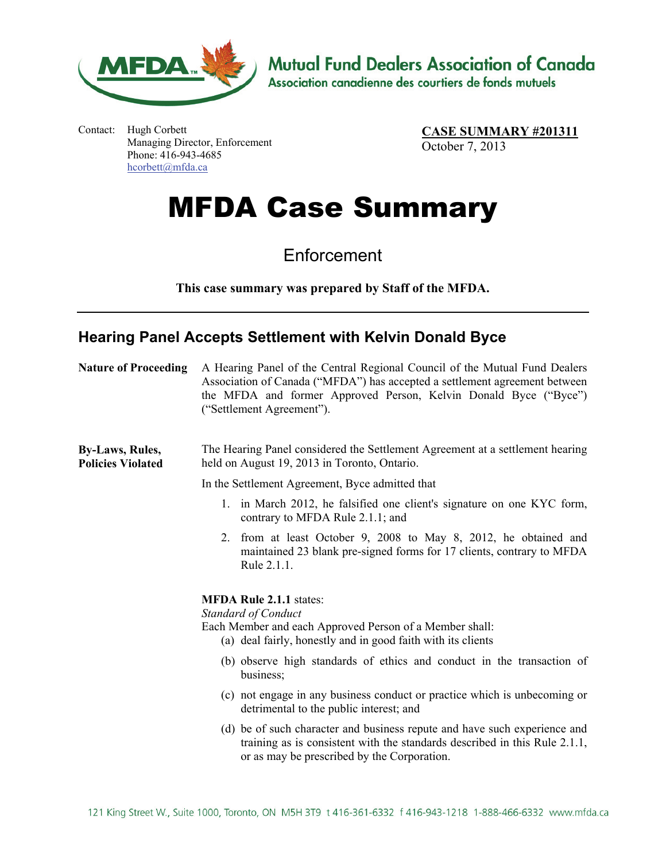

**Mutual Fund Dealers Association of Canada** 

Association canadienne des courtiers de fonds mutuels

Contact: Hugh Corbett Managing Director, Enforcement Phone: 416-943-4685 hcorbett@mfda.ca

**CASE SUMMARY #201311** October 7, 2013

## MFDA Case Summary

**Enforcement** 

**This case summary was prepared by Staff of the MFDA.**

## **Hearing Panel Accepts Settlement with Kelvin Donald Byce**

| <b>Nature of Proceeding</b>                        | A Hearing Panel of the Central Regional Council of the Mutual Fund Dealers<br>Association of Canada ("MFDA") has accepted a settlement agreement between<br>the MFDA and former Approved Person, Kelvin Donald Byce ("Byce")<br>("Settlement Agreement"). |
|----------------------------------------------------|-----------------------------------------------------------------------------------------------------------------------------------------------------------------------------------------------------------------------------------------------------------|
| <b>By-Laws, Rules,</b><br><b>Policies Violated</b> | The Hearing Panel considered the Settlement Agreement at a settlement hearing<br>held on August 19, 2013 in Toronto, Ontario.                                                                                                                             |
|                                                    | In the Settlement Agreement, Byce admitted that                                                                                                                                                                                                           |
|                                                    | 1. in March 2012, he falsified one client's signature on one KYC form,<br>contrary to MFDA Rule 2.1.1; and                                                                                                                                                |
|                                                    | from at least October 9, 2008 to May 8, 2012, he obtained and<br>2.<br>maintained 23 blank pre-signed forms for 17 clients, contrary to MFDA<br>Rule 2.1.1.                                                                                               |
|                                                    | <b>MFDA Rule 2.1.1 states:</b><br><b>Standard of Conduct</b><br>Each Member and each Approved Person of a Member shall:<br>(a) deal fairly, honestly and in good faith with its clients                                                                   |
|                                                    | (b) observe high standards of ethics and conduct in the transaction of<br>business;                                                                                                                                                                       |
|                                                    | (c) not engage in any business conduct or practice which is unbecoming or<br>detrimental to the public interest; and                                                                                                                                      |
|                                                    | (d) be of such character and business repute and have such experience and<br>training as is consistent with the standards described in this Rule 2.1.1,<br>or as may be prescribed by the Corporation.                                                    |